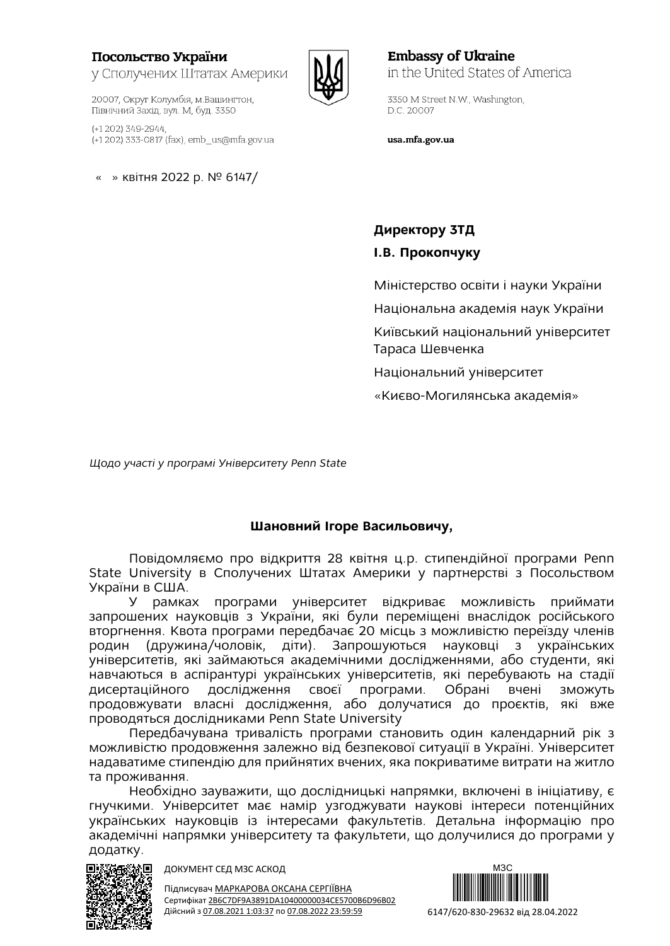## Посольство України у Сполучених Штатах Америки

(+1 202) 349-2944, (+1 202) 333-0817 (fax), emb\_us@mfa.gov.ua

20007, Округ Колумбія, м. Вашингтон, Північний Захід, вул. М. буд. 3350

« » квітня 2022 р. № 6147/



**Embassy of Ukraine** in the United States of America

3350 M Street N.W., Washington, D.C. 20007

usa.mfa.gov.ua

**Директору 3ТД І.В. Прокопчуку**

Міністерство освіти і науки України

Національна академія наук України

Київський національний університет Тараса Шевченка

Національний університет

«Києво-Могилянська академія»

*Щодо участі у програмі Університету Penn State*

## **Шановний Ігоре Васильовичу,**

Повідомляємо про відкриття 28 квітня ц.р. стипендійної програми Penn State University в Сполучених Штатах Америки у партнерстві з Посольством України в США.

У рамках програми університет відкриває можливість приймати запрошених науковців з України, які були переміщені внаслідок російського вторгнення. Квота програми передбачає 20 місць з можливістю переїзду членів родин (дружина/чоловік, діти). Запрошуються науковці з українських університетів, які займаються академічними дослідженнями, або студенти, які навчаються в аспірантурі українських університетів, які перебувають на стадії дисертаційного дослідження своєї програми. Обрані вчені зможуть продовжувати власні дослідження, або долучатися до проєктів, які вже проводяться дослідниками Penn State University

Передбачувана тривалість програми становить один календарний рік з можливістю продовження залежно від безпекової ситуації в Україні. Університет надаватиме стипендію для прийнятих вчених, яка покриватиме витрати на житло та проживання.

Необхідно зауважити, що дослідницькі напрямки, включені в ініціативу, є гнучкими. Університет має намір узгоджувати наукові інтереси потенційних українських науковців із інтересами факультетів. Детальна інформацію про академічні напрямки університету та факультети, що долучилися до програми у додатку.



ДОКУМЕНТ СЕД МЗС АСКОД

Підписувач МАРКАРОВА ОКСАНА СЕРГІЇВНА Сертифікат 2B6C7DF9A3891DA10400000034CE5700B6D96B02 Дійсний з 07.08.2021 1:03:37 по 07.08.2022 23:59:59

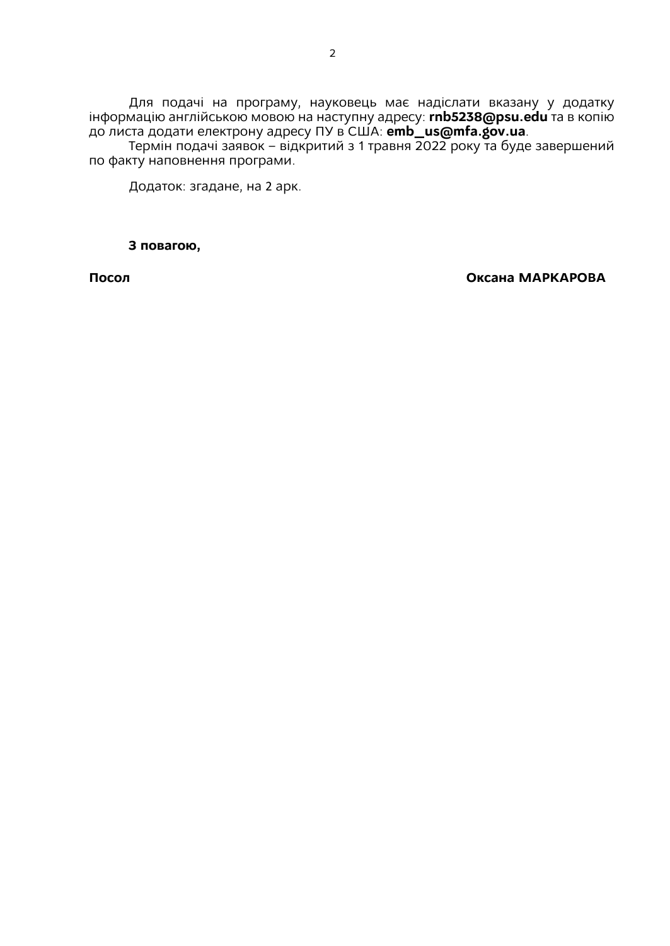Для подачі на програму, науковець має надіслати вказану у додатку інформацію англійською мовою на наступну адресу: **rnb5238@psu.edu** та в копію до листа додати електрону адресу ПУ в США: **[emb\\_us@mfa.gov.ua](mailto:emb_us@mfa.gov.ua)**.

Термін подачі заявок – відкритий з 1 травня 2022 року та буде завершений по факту наповнення програми.

Додаток: згадане, на 2 арк.

**З повагою,**

**Посол Оксана МАРКАРОВА**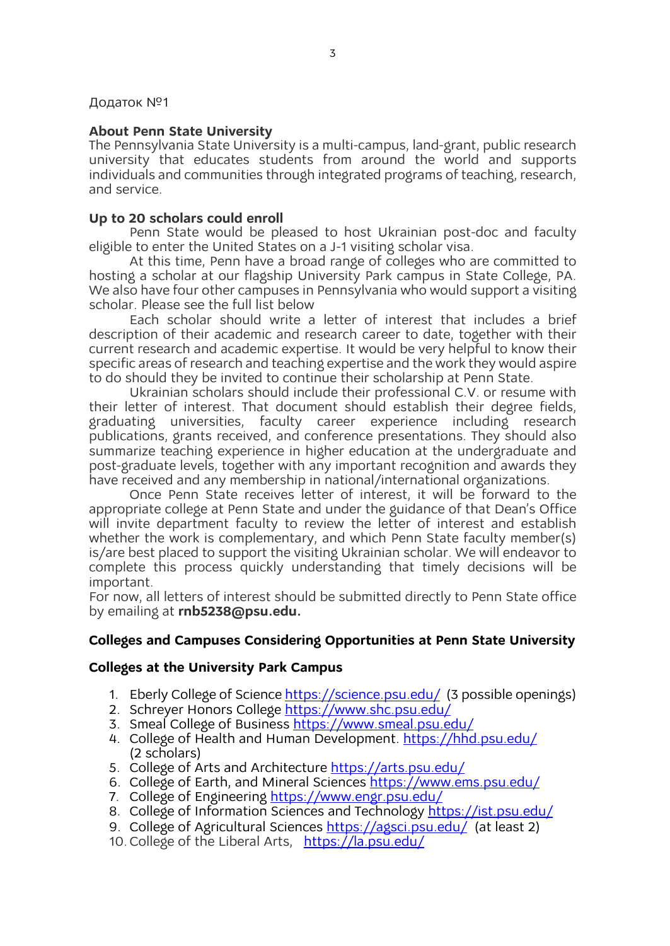#### Додаток №1

#### **About Penn State University**

The Pennsylvania State University is a multi-campus, land-grant, public research university that educates students from around the world and supports individuals and communities through integrated programs of teaching, research, and service.

#### **Up to 20 scholars could enroll**

Penn State would be pleased to host Ukrainian post-doc and faculty eligible to enter the United States on a J-1 visiting scholar visa.

At this time, Penn have a broad range of colleges who are committed to hosting a scholar at our flagship University Park campus in State College, PA. We also have four other campuses in Pennsylvania who would support a visiting scholar. Please see the full list below

Each scholar should write a letter of interest that includes a brief description of their academic and research career to date, together with their current research and academic expertise. It would be very helpful to know their specific areas of research and teaching expertise and the work they would aspire to do should they be invited to continue their scholarship at Penn State.

Ukrainian scholars should include their professional C.V. or resume with their letter of interest. That document should establish their degree fields, graduating universities, faculty career experience including research publications, grants received, and conference presentations. They should also summarize teaching experience in higher education at the undergraduate and post-graduate levels, together with any important recognition and awards they have received and any membership in national/international organizations.

Once Penn State receives letter of interest, it will be forward to the appropriate college at Penn State and under the guidance of that Dean's Office will invite department faculty to review the letter of interest and establish whether the work is complementary, and which Penn State faculty member(s) is/are best placed to support the visiting Ukrainian scholar. We will endeavor to complete this process quickly understanding that timely decisions will be important.

For now, all letters of interest should be submitted directly to Penn State office by emailing at **rnb5238@psu.edu.**

## **Colleges and Campuses Considering Opportunities at Penn State University**

#### **Colleges at the University Park Campus**

- 1. Eberly College of Science<https://science.psu.edu/>(3 possible openings)
- 2. Schreyer Honors College <https://www.shc.psu.edu/>
- 3. Smeal College of Business<https://www.smeal.psu.edu/>
- 4. College of Health and Human Development. https://hhd.psu.edu/ (2 scholars)
- 5. College of Arts and Architecture <https://arts.psu.edu/>
- 6. College of Earth, and Mineral Sciences<https://www.ems.psu.edu/>
- 7. College of Engineering <https://www.engr.psu.edu/>
- 8. College of Information Sciences and Technology<https://ist.psu.edu/>
- 9. College of Agricultural Sciences <https://agsci.psu.edu/>(at least 2)
- 10. College of the Liberal Arts, <https://la.psu.edu/>